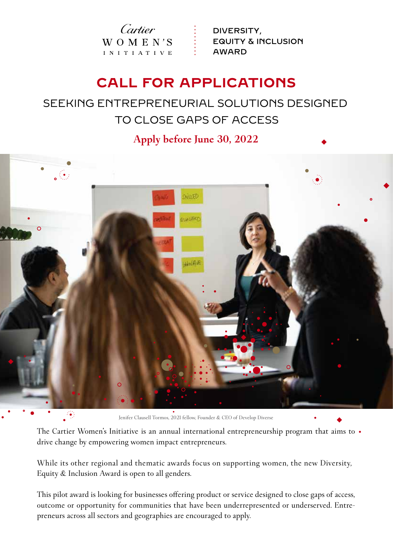Cartier WOMEN'S I N I T I A T I V E

DIVERSITY, EQUITY & INCLUSION AWARD

# **CALL FOR APPLICATIONS**

## SEEKING ENTREPRENEURIAL SOLUTIONS DESIGNED TO CLOSE GAPS OF ACCESS

### **Apply before June 30, 2022**



Jenifer Clausell Tormos, 2021 fellow, Founder & CEO of Develop Diverse

The Cartier Women's Initiative is an annual international entrepreneurship program that aims to  $\cdot$ drive change by empowering women impact entrepreneurs.

While its other regional and thematic awards focus on supporting women, the new Diversity, Equity & Inclusion Award is open to all genders.

This pilot award is looking for businesses offering product or service designed to close gaps of access, outcome or opportunity for communities that have been underrepresented or underserved. Entrepreneurs across all sectors and geographies are encouraged to apply.